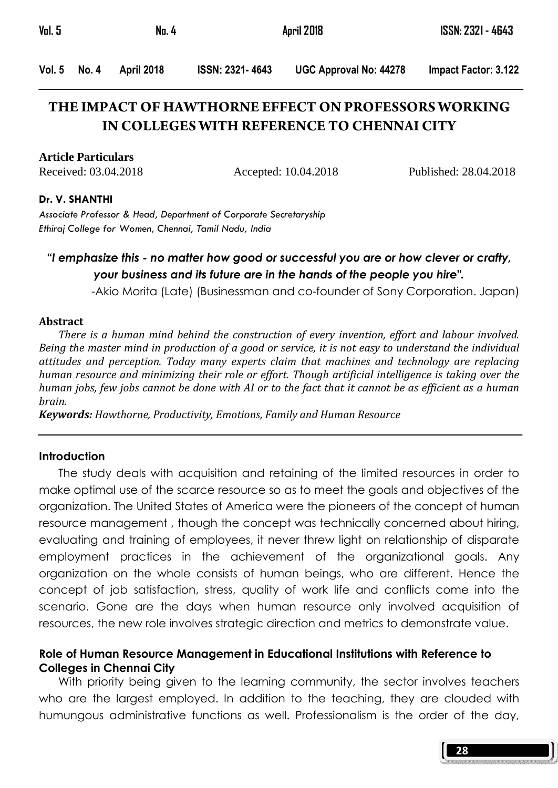| Vol. 5<br>No. 4 |            |                 | April 2018                    |                      |
|-----------------|------------|-----------------|-------------------------------|----------------------|
| Vol. 5 No. 4    | April 2018 | ISSN: 2321-4643 | <b>UGC Approval No: 44278</b> | Impact Factor: 3.122 |

# **THE IMPACT OF HAWTHORNE EFFECT ON PROFESSORS WORKING IN COLLEGES WITH REFERENCE TO CHENNAI CITY**

**Article Particulars**

Received: 03.04.2018 Accepted: 10.04.2018 Published: 28.04.2018

#### Dr. V. SHANTHI

Associate Professor & Head, Department of Corporate Secretaryship Ethiraj College for Women, Chennai, Tamil Nadu, India

# "I emphasize this - no matter how good or successful you are or how clever or crafty, your business and its future are in the hands of the people you hire".

-Akio Morita (Late) (Businessman and co-founder of Sony Corporation. Japan)

#### Abstract

 There is a human mind behind the construction of every invention, effort and labour involved. Being the master mind in production of a good or service, it is not easy to understand the individual attitudes and perception. Today many experts claim that machines and technology are replacing human resource and minimizing their role or effort. Though artificial intelligence is taking over the human jobs, few jobs cannot be done with AI or to the fact that it cannot be as efficient as a human brain.

Keywords: Hawthorne, Productivity, Emotions, Family and Human Resource

#### **Introduction**

 The study deals with acquisition and retaining of the limited resources in order to make optimal use of the scarce resource so as to meet the goals and objectives of the organization. The United States of America were the pioneers of the concept of human resource management , though the concept was technically concerned about hiring, evaluating and training of employees, it never threw light on relationship of disparate employment practices in the achievement of the organizational goals. Any organization on the whole consists of human beings, who are different. Hence the concept of job satisfaction, stress, quality of work life and conflicts come into the scenario. Gone are the days when human resource only involved acquisition of resources, the new role involves strategic direction and metrics to demonstrate value.

## Role of Human Resource Management in Educational Institutions with Reference to Colleges in Chennai City

 With priority being given to the learning community, the sector involves teachers who are the largest employed. In addition to the teaching, they are clouded with humungous administrative functions as well. Professionalism is the order of the day,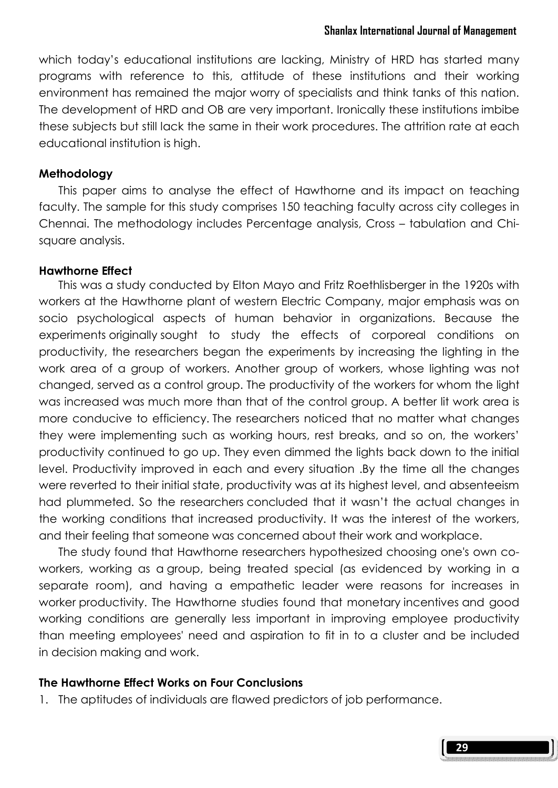which today's educational institutions are lacking, Ministry of HRD has started many programs with reference to this, attitude of these institutions and their working environment has remained the major worry of specialists and think tanks of this nation. The development of HRD and OB are very important. Ironically these institutions imbibe these subjects but still lack the same in their work procedures. The attrition rate at each educational institution is high.

#### Methodology

 This paper aims to analyse the effect of Hawthorne and its impact on teaching faculty. The sample for this study comprises 150 teaching faculty across city colleges in Chennai. The methodology includes Percentage analysis, Cross – tabulation and Chisquare analysis.

#### Hawthorne Effect

 This was a study conducted by Elton Mayo and Fritz Roethlisberger in the 1920s with workers at the Hawthorne plant of western Electric Company, major emphasis was on socio psychological aspects of human behavior in organizations. Because the experiments originally sought to study the effects of corporeal conditions on productivity, the researchers began the experiments by increasing the lighting in the work area of a group of workers. Another group of workers, whose lighting was not changed, served as a control group. The productivity of the workers for whom the light was increased was much more than that of the control group. A better lit work area is more conducive to efficiency. The researchers noticed that no matter what changes they were implementing such as working hours, rest breaks, and so on, the workers' productivity continued to go up. They even dimmed the lights back down to the initial level. Productivity improved in each and every situation .By the time all the changes were reverted to their initial state, productivity was at its highest level, and absenteeism had plummeted. So the researchers concluded that it wasn't the actual changes in the working conditions that increased productivity. It was the interest of the workers, and their feeling that someone was concerned about their work and workplace.

 The study found that Hawthorne researchers hypothesized choosing one's own coworkers, working as a group, being treated special (as evidenced by working in a separate room), and having a empathetic leader were reasons for increases in worker productivity. The Hawthorne studies found that monetary incentives and good working conditions are generally less important in improving employee productivity than meeting employees' need and aspiration to fit in to a cluster and be included in decision making and work.

#### The Hawthorne Effect Works on Four Conclusions

1. The aptitudes of individuals are flawed predictors of job performance.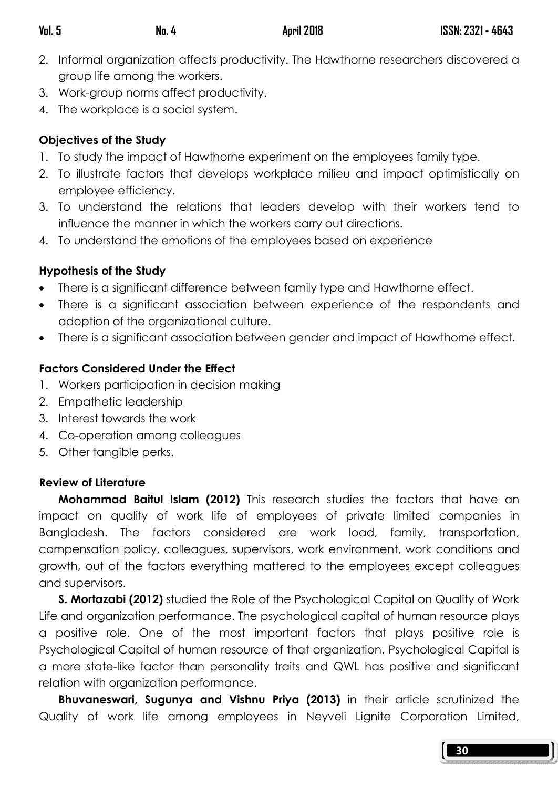- 2. Informal organization affects productivity. The Hawthorne researchers discovered a group life among the workers.
- 3. Work-group norms affect productivity.
- 4. The workplace is a social system.

# Objectives of the Study

- 1. To study the impact of Hawthorne experiment on the employees family type.
- 2. To illustrate factors that develops workplace milieu and impact optimistically on employee efficiency.
- 3. To understand the relations that leaders develop with their workers tend to influence the manner in which the workers carry out directions.
- 4. To understand the emotions of the employees based on experience

# Hypothesis of the Study

- There is a significant difference between family type and Hawthorne effect.
- There is a significant association between experience of the respondents and adoption of the organizational culture.
- There is a significant association between gender and impact of Hawthorne effect.

# Factors Considered Under the Effect

- 1. Workers participation in decision making
- 2. Empathetic leadership
- 3. Interest towards the work
- 4. Co-operation among colleagues
- 5. Other tangible perks.

# Review of Literature

Mohammad Baitul Islam (2012) This research studies the factors that have an impact on quality of work life of employees of private limited companies in Bangladesh. The factors considered are work load, family, transportation, compensation policy, colleagues, supervisors, work environment, work conditions and growth, out of the factors everything mattered to the employees except colleagues and supervisors.

S. Mortazabi (2012) studied the Role of the Psychological Capital on Quality of Work Life and organization performance. The psychological capital of human resource plays a positive role. One of the most important factors that plays positive role is Psychological Capital of human resource of that organization. Psychological Capital is a more state-like factor than personality traits and QWL has positive and significant relation with organization performance.

 Bhuvaneswari, Sugunya and Vishnu Priya (2013) in their article scrutinized the Quality of work life among employees in Neyveli Lignite Corporation Limited,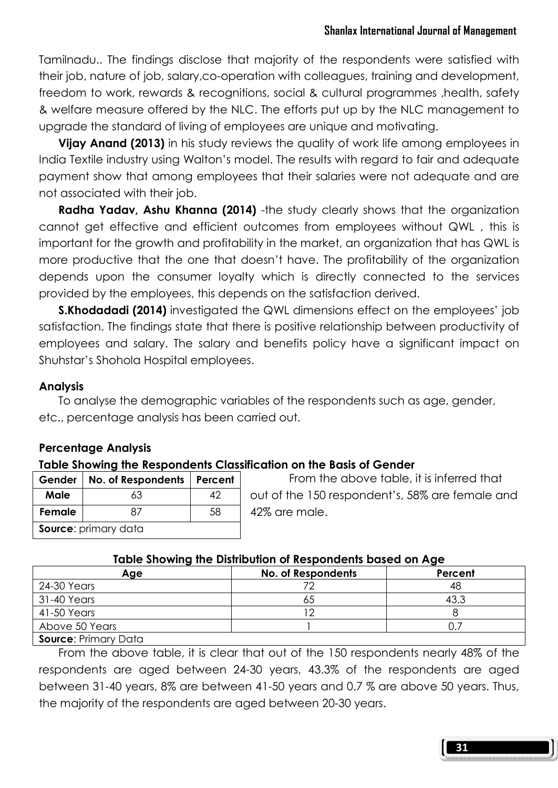Tamilnadu.. The findings disclose that majority of the respondents were satisfied with their job, nature of job, salary,co-operation with colleagues, training and development, freedom to work, rewards & recognitions, social & cultural programmes ,health, safety & welfare measure offered by the NLC. The efforts put up by the NLC management to upgrade the standard of living of employees are unique and motivating.

**Vijay Anand (2013)** in his study reviews the quality of work life among employees in India Textile industry using Walton's model. The results with regard to fair and adequate payment show that among employees that their salaries were not adequate and are not associated with their job.

**Radha Yadav, Ashu Khanna (2014)** -the study clearly shows that the organization cannot get effective and efficient outcomes from employees without QWL , this is important for the growth and profitability in the market, an organization that has QWL is more productive that the one that doesn't have. The profitability of the organization depends upon the consumer loyalty which is directly connected to the services provided by the employees, this depends on the satisfaction derived.

**S.Khodadadi (2014)** investigated the QWL dimensions effect on the employees' job satisfaction. The findings state that there is positive relationship between productivity of employees and salary. The salary and benefits policy have a significant impact on Shuhstar's Shohola Hospital employees.

# **Analysis**

 To analyse the demographic variables of the respondents such as age, gender, etc., percentage analysis has been carried out.

# Percentage Analysis

## Table Showing the Respondents Classification on the Basis of Gender

| Gender   No. of Respondents   Percent |    |    |  |  |
|---------------------------------------|----|----|--|--|
| Male                                  | 63 |    |  |  |
| Female                                |    | 58 |  |  |
| Source: primary data                  |    |    |  |  |

 From the above table, it is inferred that out of the 150 respondent's, 58% are female and 42% are male.

## Table Showing the Distribution of Respondents based on Age

| Age                         | No. of Respondents | Percent |  |  |
|-----------------------------|--------------------|---------|--|--|
| 24-30 Years                 |                    | 48      |  |  |
| 31-40 Years                 | 65                 | 43.3    |  |  |
| 41-50 Years                 |                    |         |  |  |
| Above 50 Years              |                    |         |  |  |
| <b>Source: Primary Data</b> |                    |         |  |  |

 From the above table, it is clear that out of the 150 respondents nearly 48% of the respondents are aged between 24-30 years, 43.3% of the respondents are aged between 31-40 years, 8% are between 41-50 years and 0.7 % are above 50 years. Thus, the majority of the respondents are aged between 20-30 years.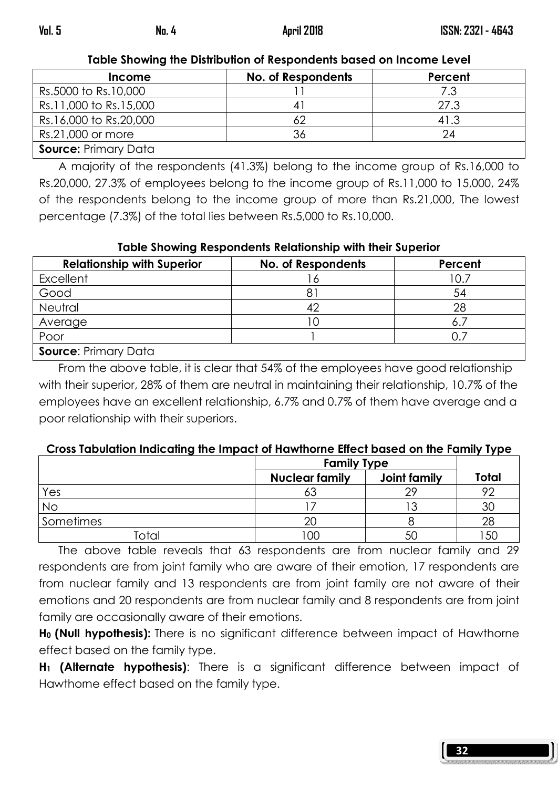Table Showing the Distribution of Respondents based on Income Level

| <b>Income</b>               | <b>No. of Respondents</b> | Percent |  |  |  |
|-----------------------------|---------------------------|---------|--|--|--|
| Rs.5000 to Rs.10,000        |                           |         |  |  |  |
| Rs.11,000 to Rs.15,000      |                           | 27.3    |  |  |  |
| Rs.16,000 to Rs.20,000      |                           | 41.3    |  |  |  |
| Rs.21,000 or more           | 36                        |         |  |  |  |
| <b>Source: Primary Data</b> |                           |         |  |  |  |

 A majority of the respondents (41.3%) belong to the income group of Rs.16,000 to Rs.20,000, 27.3% of employees belong to the income group of Rs.11,000 to 15,000, 24% of the respondents belong to the income group of more than Rs.21,000, The lowest percentage (7.3%) of the total lies between Rs.5,000 to Rs.10,000.

## Table Showing Respondents Relationship with their Superior

| <b>Relationship with Superior</b> | No. of Respondents | Percent |
|-----------------------------------|--------------------|---------|
| Excellent                         |                    |         |
| Good                              |                    | 54      |
| Neutral                           | 42                 | 28      |
| Average                           | IС                 | 6.      |
| Poor                              |                    |         |
| <b>Source: Primary Data</b>       |                    |         |

 From the above table, it is clear that 54% of the employees have good relationship with their superior, 28% of them are neutral in maintaining their relationship, 10.7% of the employees have an excellent relationship, 6.7% and 0.7% of them have average and a poor relationship with their superiors.

## Cross Tabulation Indicating the Impact of Hawthorne Effect based on the Family Type

|           | <b>Family Type</b>    |              |       |
|-----------|-----------------------|--------------|-------|
|           | <b>Nuclear family</b> | Joint family | Total |
| Yes       | ბა                    |              | ററ    |
| <b>No</b> |                       |              | 30    |
| Sometimes | 20                    |              | 28    |
| "otai     | 00                    |              | 5C    |

 The above table reveals that 63 respondents are from nuclear family and 29 respondents are from joint family who are aware of their emotion, 17 respondents are from nuclear family and 13 respondents are from joint family are not aware of their emotions and 20 respondents are from nuclear family and 8 respondents are from joint family are occasionally aware of their emotions.

H<sub>0</sub> (Null hypothesis): There is no significant difference between impact of Hawthorne effect based on the family type.

H<sub>1</sub> (Alternate hypothesis): There is a significant difference between impact of Hawthorne effect based on the family type.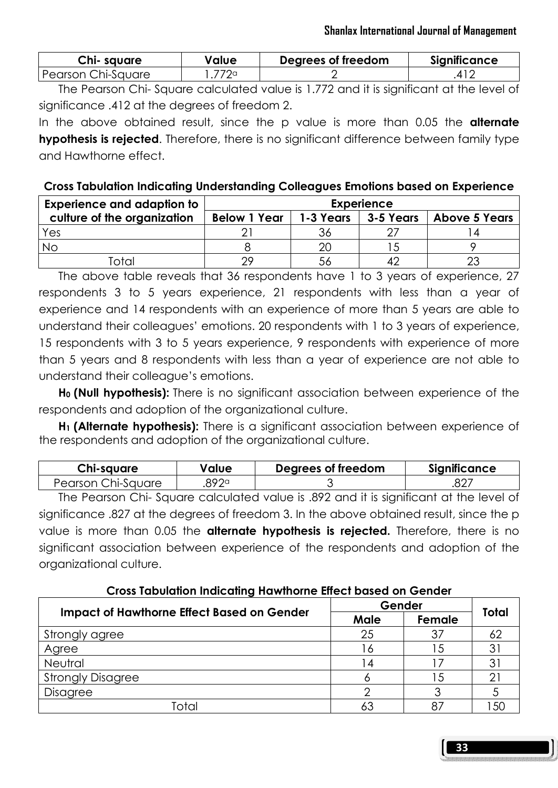| Chi-square         | Value | Degrees of freedom | <b>Significance</b> |
|--------------------|-------|--------------------|---------------------|
| Pearson Chi-Sauare | 772a  |                    |                     |

 The Pearson Chi- Square calculated value is 1.772 and it is significant at the level of significance .412 at the degrees of freedom 2.

In the above obtained result, since the p value is more than 0.05 the **alternate hypothesis is rejected.** Therefore, there is no significant difference between family type and Hawthorne effect.

## Cross Tabulation Indicating Understanding Colleagues Emotions based on Experience

| <b>Experience and adaption to</b> | <b>Experience</b>   |           |           |                      |
|-----------------------------------|---------------------|-----------|-----------|----------------------|
| culture of the organization       | <b>Below 1 Year</b> | 1-3 Years | 3-5 Years | <b>Above 5 Years</b> |
| Yes                               |                     |           |           |                      |
| No                                |                     | 20        |           |                      |
|                                   | つ9                  | 56        |           |                      |

 The above table reveals that 36 respondents have 1 to 3 years of experience, 27 respondents 3 to 5 years experience, 21 respondents with less than a year of experience and 14 respondents with an experience of more than 5 years are able to understand their colleagues' emotions. 20 respondents with 1 to 3 years of experience, 15 respondents with 3 to 5 years experience, 9 respondents with experience of more than 5 years and 8 respondents with less than a year of experience are not able to understand their colleague's emotions.

H<sub>0</sub> (Null hypothesis): There is no significant association between experience of the respondents and adoption of the organizational culture.

H<sub>1</sub> (Alternate hypothesis): There is a significant association between experience of the respondents and adoption of the organizational culture.

| Chi-square         | Value | Degrees of freedom | <b>Significance</b> |
|--------------------|-------|--------------------|---------------------|
| Pearson Chi-Square | 892a  |                    | .827                |

 The Pearson Chi- Square calculated value is .892 and it is significant at the level of significance .827 at the degrees of freedom 3. In the above obtained result, since the p value is more than 0.05 the **alternate hypothesis is rejected.** Therefore, there is no significant association between experience of the respondents and adoption of the organizational culture.

## Cross Tabulation Indicating Hawthorne Effect based on Gender

|                                                   | Gender | Total  |   |
|---------------------------------------------------|--------|--------|---|
| <b>Impact of Hawthorne Effect Based on Gender</b> | Male   | Female |   |
| Strongly agree                                    | 25     | 37     |   |
| Agree                                             |        | 5      |   |
| Neutral                                           |        |        |   |
| <b>Strongly Disagree</b>                          |        | .5     | ⌒ |
| Disagree                                          |        |        |   |
| `∩†∩                                              | 63     |        |   |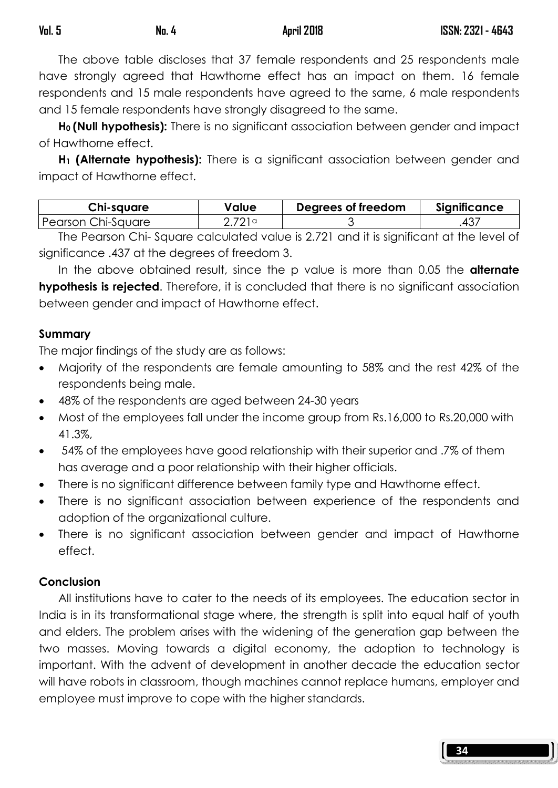The above table discloses that 37 female respondents and 25 respondents male have strongly agreed that Hawthorne effect has an impact on them. 16 female respondents and 15 male respondents have agreed to the same, 6 male respondents and 15 female respondents have strongly disagreed to the same.

H<sub>0</sub> (Null hypothesis): There is no significant association between gender and impact of Hawthorne effect.

H<sub>1</sub> (Alternate hypothesis): There is a significant association between gender and impact of Hawthorne effect.

| Chi-square           | Value  | Degrees of freedom | Significance |
|----------------------|--------|--------------------|--------------|
| l Pearson Chi-Sauare | 2 721a |                    | 43,          |

 The Pearson Chi- Square calculated value is 2.721 and it is significant at the level of significance .437 at the degrees of freedom 3.

In the above obtained result, since the p value is more than 0.05 the **alternate** hypothesis is rejected. Therefore, it is concluded that there is no significant association between gender and impact of Hawthorne effect.

## Summary

The major findings of the study are as follows:

- Majority of the respondents are female amounting to 58% and the rest 42% of the respondents being male.
- 48% of the respondents are aged between 24-30 years
- Most of the employees fall under the income group from Rs.16,000 to Rs.20,000 with 41.3%,
- 54% of the employees have good relationship with their superior and .7% of them has average and a poor relationship with their higher officials.
- There is no significant difference between family type and Hawthorne effect.
- There is no significant association between experience of the respondents and adoption of the organizational culture.
- There is no significant association between gender and impact of Hawthorne effect.

## Conclusion

 All institutions have to cater to the needs of its employees. The education sector in India is in its transformational stage where, the strength is split into equal half of youth and elders. The problem arises with the widening of the generation gap between the two masses. Moving towards a digital economy, the adoption to technology is important. With the advent of development in another decade the education sector will have robots in classroom, though machines cannot replace humans, employer and employee must improve to cope with the higher standards.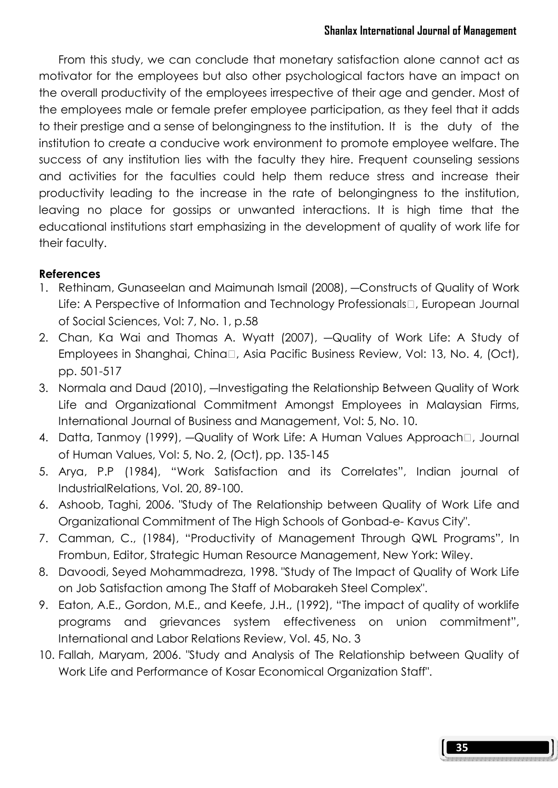From this study, we can conclude that monetary satisfaction alone cannot act as motivator for the employees but also other psychological factors have an impact on the overall productivity of the employees irrespective of their age and gender. Most of the employees male or female prefer employee participation, as they feel that it adds to their prestige and a sense of belongingness to the institution. It is the duty of the institution to create a conducive work environment to promote employee welfare. The success of any institution lies with the faculty they hire. Frequent counseling sessions and activities for the faculties could help them reduce stress and increase their productivity leading to the increase in the rate of belongingness to the institution, leaving no place for gossips or unwanted interactions. It is high time that the educational institutions start emphasizing in the development of quality of work life for their faculty.

# References

- 1. Rethinam, Gunaseelan and Maimunah Ismail (2008), ―Constructs of Quality of Work Life: A Perspective of Information and Technology Professionals, European Journal of Social Sciences, Vol: 7, No. 1, p.58
- 2. Chan, Ka Wai and Thomas A. Wyatt (2007), ―Quality of Work Life: A Study of Employees in Shanghai, China, Asia Pacific Business Review, Vol: 13, No. 4, (Oct), pp. 501-517
- 3. Normala and Daud (2010), ―Investigating the Relationship Between Quality of Work Life and Organizational Commitment Amongst Employees in Malaysian Firms, International Journal of Business and Management, Vol: 5, No. 10.
- 4. Datta, Tanmoy (1999), —Quality of Work Life: A Human Values Approach, Journal of Human Values, Vol: 5, No. 2, (Oct), pp. 135-145
- 5. Arya, P.P (1984), "Work Satisfaction and its Correlates", Indian journal of IndustrialRelations, Vol. 20, 89-100.
- 6. Ashoob, Taghi, 2006. "Study of The Relationship between Quality of Work Life and Organizational Commitment of The High Schools of Gonbad-e- Kavus City".
- 7. Camman, C., (1984), "Productivity of Management Through QWL Programs", In Frombun, Editor, Strategic Human Resource Management, New York: Wiley.
- 8. Davoodi, Seyed Mohammadreza, 1998. "Study of The Impact of Quality of Work Life on Job Satisfaction among The Staff of Mobarakeh Steel Complex".
- 9. Eaton, A.E., Gordon, M.E., and Keefe, J.H., (1992), "The impact of quality of worklife programs and grievances system effectiveness on union commitment", International and Labor Relations Review, Vol. 45, No. 3
- 10. Fallah, Maryam, 2006. "Study and Analysis of The Relationship between Quality of Work Life and Performance of Kosar Economical Organization Staff".